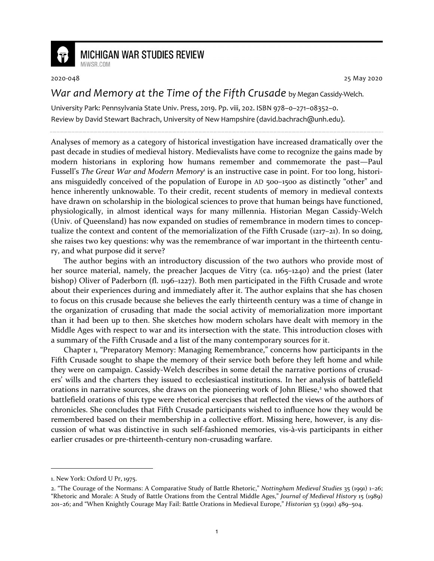

## **MICHIGAN WAR STUDIES REVIEW**

MiWSR COM

2020-048 25 May 2020

## War and Memory at the Time of the Fifth Crusade by Megan Cassidy-Welch.

University Park: Pennsylvania State Univ. Press, 2019. Pp. viii, 202. ISBN 978–0–271–08352–0. Review by David Stewart Bachrach, University of New Hampshire (david.bachrach@unh.edu).

Analyses of memory as a category of historical investigation have increased dramatically over the past decade in studies of medieval history. Medievalists have come to recognize the gains made by modern historians in exploring how humans remember and commemorate the past—Paul Fussell's The Great War and Modern Memory<sup>1</sup> is an instructive case in point. For too long, historians misguidedly conceived of the population of Europe in AD 500–1500 as distinctly "other" and hence inherently unknowable. To their credit, recent students of memory in medieval contexts have drawn on scholarship in the biological sciences to prove that human beings have functioned, physiologically, in almost identical ways for many millennia. Historian Megan Cassidy-Welch (Univ. of Queensland) has now expanded on studies of remembrance in modern times to conceptualize the context and content of the memorialization of the Fifth Crusade (1217–21). In so doing, she raises two key questions: why was the remembrance of war important in the thirteenth century, and what purpose did it serve?

The author begins with an introductory discussion of the two authors who provide most of her source material, namely, the preacher Jacques de Vitry (ca. 1165–1240) and the priest (later bishop) Oliver of Paderborn (fl. 1196–1227). Both men participated in the Fifth Crusade and wrote about their experiences during and immediately after it. The author explains that she has chosen to focus on this crusade because she believes the early thirteenth century was a time of change in the organization of crusading that made the social activity of memorialization more important than it had been up to then. She sketches how modern scholars have dealt with memory in the Middle Ages with respect to war and its intersection with the state. This introduction closes with a summary of the Fifth Crusade and a list of the many contemporary sources for it.

Chapter 1, "Preparatory Memory: Managing Remembrance," concerns how participants in the Fifth Crusade sought to shape the memory of their service both before they left home and while they were on campaign. Cassidy-Welch describes in some detail the narrative portions of crusaders' wills and the charters they issued to ecclesiastical institutions. In her analysis of battlefield orations in narrative sources, she draws on the pioneering work of John Bliese,<sup>2</sup> who showed that battlefield orations of this type were rhetorical exercises that reflected the views of the authors of chronicles. She concludes that Fifth Crusade participants wished to influence how they would be remembered based on their membership in a collective effort. Missing here, however, is any discussion of what was distinctive in such self-fashioned memories, vis-à-vis participants in either earlier crusades or pre-thirteenth-century non-crusading warfare.

<sup>1.</sup> New York: Oxford U Pr, 1975.

<sup>2. &</sup>quot;The Courage of the Normans: A Comparative Study of Battle Rhetoric," *Nottingham Medieval Studies* 35 (1991) 1–26; "Rhetoric and Morale: A Study of Battle Orations from the Central Middle Ages," *Journal of Medieval History* 15 (1989) 201–26; and "When Knightly Courage May Fail: Battle Orations in Medieval Europe," *Historian* 53 (1991) 489–504.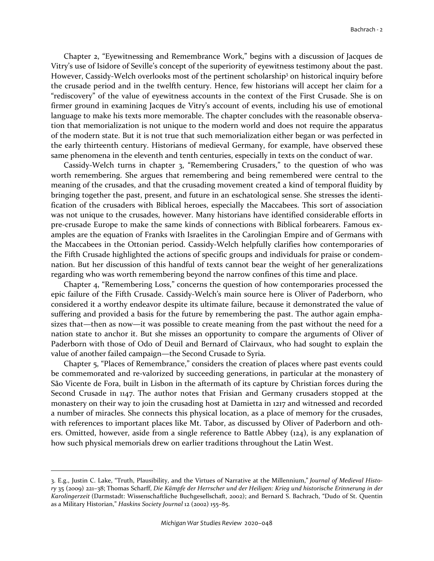Chapter 2, "Eyewitnessing and Remembrance Work," begins with a discussion of Jacques de Vitry's use of Isidore of Seville's concept of the superiority of eyewitness testimony about the past. However, Cassidy-Welch overlooks most of the pertinent scholarship<sup>3</sup> on historical inquiry before the crusade period and in the twelfth century. Hence, few historians will accept her claim for a "rediscovery" of the value of eyewitness accounts in the context of the First Crusade. She is on firmer ground in examining Jacques de Vitry's account of events, including his use of emotional language to make his texts more memorable. The chapter concludes with the reasonable observation that memorialization is not unique to the modern world and does not require the apparatus of the modern state. But it is not true that such memorialization either began or was perfected in the early thirteenth century. Historians of medieval Germany, for example, have observed these same phenomena in the eleventh and tenth centuries, especially in texts on the conduct of war.

Cassidy-Welch turns in chapter 3, "Remembering Crusaders," to the question of who was worth remembering. She argues that remembering and being remembered were central to the meaning of the crusades, and that the crusading movement created a kind of temporal fluidity by bringing together the past, present, and future in an eschatological sense. She stresses the identification of the crusaders with Biblical heroes, especially the Maccabees. This sort of association was not unique to the crusades, however. Many historians have identified considerable efforts in pre-crusade Europe to make the same kinds of connections with Biblical forbearers. Famous examples are the equation of Franks with Israelites in the Carolingian Empire and of Germans with the Maccabees in the Ottonian period. Cassidy-Welch helpfully clarifies how contemporaries of the Fifth Crusade highlighted the actions of specific groups and individuals for praise or condemnation. But her discussion of this handful of texts cannot bear the weight of her generalizations regarding who was worth remembering beyond the narrow confines of this time and place.

Chapter 4, "Remembering Loss," concerns the question of how contemporaries processed the epic failure of the Fifth Crusade. Cassidy-Welch's main source here is Oliver of Paderborn, who considered it a worthy endeavor despite its ultimate failure, because it demonstrated the value of suffering and provided a basis for the future by remembering the past. The author again emphasizes that—then as now—it was possible to create meaning from the past without the need for a nation state to anchor it. But she misses an opportunity to compare the arguments of Oliver of Paderborn with those of Odo of Deuil and Bernard of Clairvaux, who had sought to explain the value of another failed campaign—the Second Crusade to Syria.

Chapter 5, "Places of Remembrance," considers the creation of places where past events could be commemorated and re-valorized by succeeding generations, in particular at the monastery of São Vicente de Fora, built in Lisbon in the aftermath of its capture by Christian forces during the Second Crusade in 1147. The author notes that Frisian and Germany crusaders stopped at the monastery on their way to join the crusading host at Damietta in 1217 and witnessed and recorded a number of miracles. She connects this physical location, as a place of memory for the crusades, with references to important places like Mt. Tabor, as discussed by Oliver of Paderborn and others. Omitted, however, aside from a single reference to Battle Abbey (124), is any explanation of how such physical memorials drew on earlier traditions throughout the Latin West.

<sup>3.</sup> E.g., Justin C. Lake, "Truth, Plausibility, and the Virtues of Narrative at the Millennium," *Journal of Medieval History* 35 (2009) 221–38; Thomas Scharff, *Die Kämpfe der Herrscher und der Heiligen: Krieg und historische Erinnerung in der Karolingerzeit* (Darmstadt: Wissenschaftliche Buchgesellschaft, 2002); and Bernard S. Bachrach, "Dudo of St. Quentin as a Military Historian," *Haskins Society Journal* 12 (2002) 155–85.